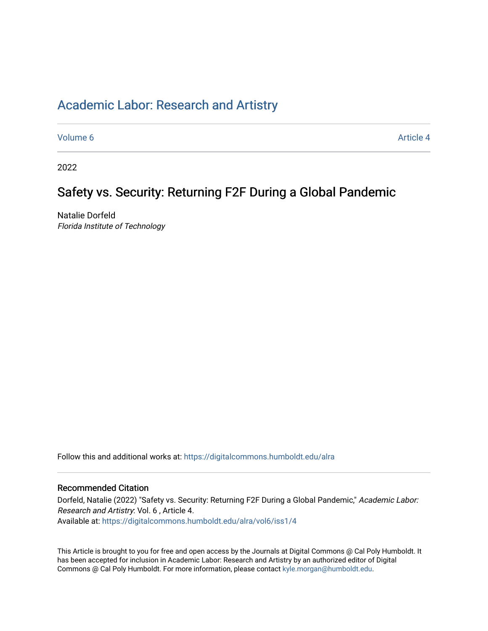### [Academic Labor: Research and Artistry](https://digitalcommons.humboldt.edu/alra)

[Volume 6](https://digitalcommons.humboldt.edu/alra/vol6) Article 4

2022

## Safety vs. Security: Returning F2F During a Global Pandemic

Natalie Dorfeld Florida Institute of Technology

Follow this and additional works at: [https://digitalcommons.humboldt.edu/alra](https://digitalcommons.humboldt.edu/alra?utm_source=digitalcommons.humboldt.edu%2Falra%2Fvol6%2Fiss1%2F4&utm_medium=PDF&utm_campaign=PDFCoverPages)

#### Recommended Citation

Dorfeld, Natalie (2022) "Safety vs. Security: Returning F2F During a Global Pandemic," Academic Labor: Research and Artistry: Vol. 6 , Article 4. Available at: [https://digitalcommons.humboldt.edu/alra/vol6/iss1/4](https://digitalcommons.humboldt.edu/alra/vol6/iss1/4?utm_source=digitalcommons.humboldt.edu%2Falra%2Fvol6%2Fiss1%2F4&utm_medium=PDF&utm_campaign=PDFCoverPages)

This Article is brought to you for free and open access by the Journals at Digital Commons @ Cal Poly Humboldt. It has been accepted for inclusion in Academic Labor: Research and Artistry by an authorized editor of Digital Commons @ Cal Poly Humboldt. For more information, please contact [kyle.morgan@humboldt.edu](mailto:kyle.morgan@humboldt.edu).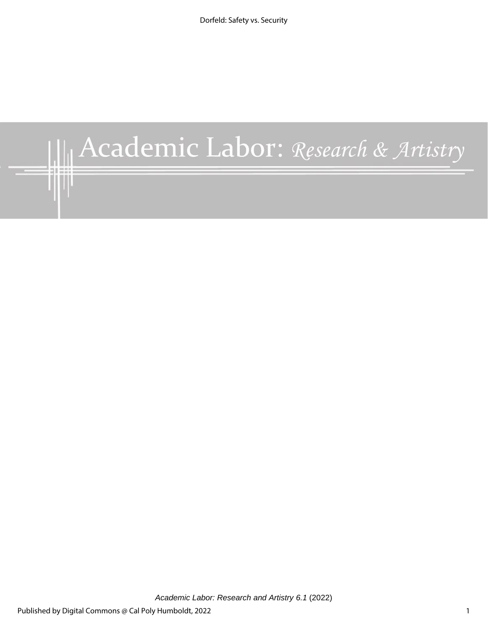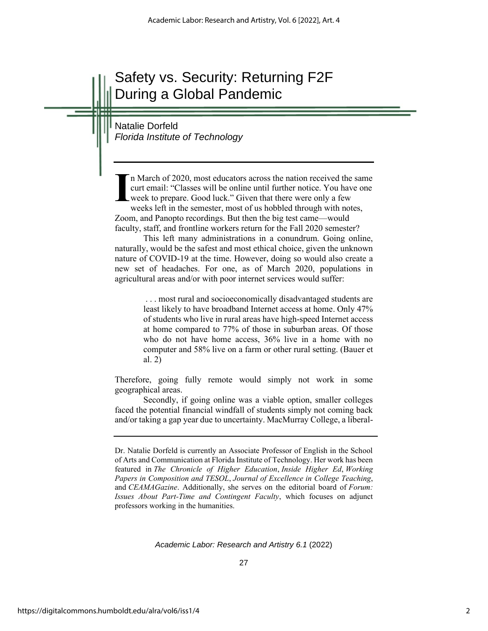# Safety vs. Security: Returning F2F During a Global Pandemic

Natalie Dorfeld *Florida Institute of Technology*

n March of 2020, most educators across the nation received the same curt email: "Classes will be online until further notice. You have one week to prepare. Good luck." Given that there were only a few weeks left in the semester, most of us hobbled through with notes, Zoom, and Panopto recordings. But then the big test came—would faculty, staff, and frontline workers return for the Fall 2020 semester? **I**

This left many administrations in a conundrum. Going online, naturally, would be the safest and most ethical choice, given the unknown nature of COVID-19 at the time. However, doing so would also create a new set of headaches. For one, as of March 2020, populations in agricultural areas and/or with poor internet services would suffer:

> . . . most rural and socioeconomically disadvantaged students are least likely to have broadband Internet access at home. Only 47% of students who live in rural areas have high-speed Internet access at home compared to 77% of those in suburban areas. Of those who do not have home access, 36% live in a home with no computer and 58% live on a farm or other rural setting. (Bauer et al. 2)

Therefore, going fully remote would simply not work in some geographical areas.

Secondly, if going online was a viable option, smaller colleges faced the potential financial windfall of students simply not coming back and/or taking a gap year due to uncertainty. MacMurray College, a liberal-

Dr. Natalie Dorfeld is currently an Associate Professor of English in the School of Arts and Communication at Florida Institute of Technology. Her work has been featured in *The Chronicle of Higher Education*, *Inside Higher Ed*, *Working Papers in Composition and TESOL*, *Journal of Excellence in College Teaching*, and *CEAMAGazine*. Additionally, she serves on the editorial board of *Forum: Issues About Part-Time and Contingent Faculty*, which focuses on adjunct professors working in the humanities.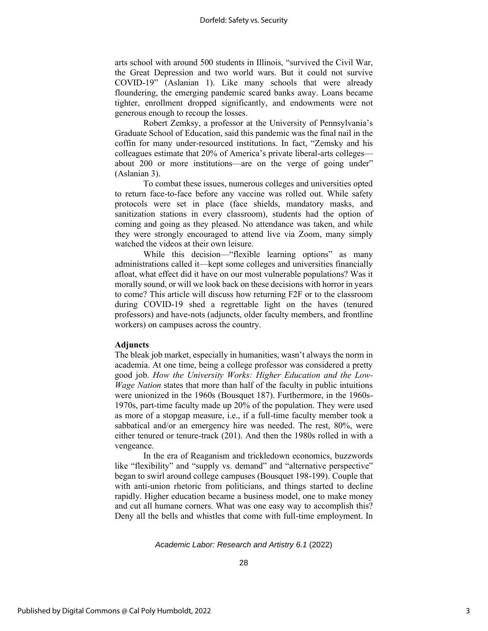arts school with around 500 students in Illinois, "survived the Civil War, the Great Depression and two world wars. But it could not survive COVID-19" (Aslanian 1). Like many schools that were already floundering, the emerging pandemic scared banks away. Loans became tighter, enrollment dropped significantly, and endowments were not generous enough to recoup the losses.

Robert Zemksy, a professor at the University of Pennsylvania's Graduate School of Education, said this pandemic was the final nail in the coffin for many under-resourced institutions. In fact, "Zemsky and his colleagues estimate that 20% of America's private liberal-arts colleges about 200 or more institutions—are on the verge of going under" (Aslanian 3).

To combat these issues, numerous colleges and universities opted to return face-to-face before any vaccine was rolled out. While safety protocols were set in place (face shields, mandatory masks, and sanitization stations in every classroom), students had the option of coming and going as they pleased. No attendance was taken, and while they were strongly encouraged to attend live via Zoom, many simply watched the videos at their own leisure.

While this decision—"flexible learning options" as many administrations called it—kept some colleges and universities financially afloat, what effect did it have on our most vulnerable populations? Was it morally sound, or will we look back on these decisions with horror in years to come? This article will discuss how returning F2F or to the classroom during COVID-19 shed a regrettable light on the haves (tenured professors) and have-nots (adjuncts, older faculty members, and frontline workers) on campuses across the country.

#### **Adjuncts**

The bleak job market, especially in humanities, wasn't always the norm in academia. At one time, being a college professor was considered a pretty good job. *How the University Works: Higher Education and the Low-Wage Nation* states that more than half of the faculty in public intuitions were unionized in the 1960s (Bousquet 187). Furthermore, in the 1960s-1970s, part-time faculty made up 20% of the population. They were used as more of a stopgap measure, i.e., if a full-time faculty member took a sabbatical and/or an emergency hire was needed. The rest, 80%, were either tenured or tenure-track (201). And then the 1980s rolled in with a vengeance.

In the era of Reaganism and trickledown economics, buzzwords like "flexibility" and "supply vs. demand" and "alternative perspective" began to swirl around college campuses (Bousquet 198-199). Couple that with anti-union rhetoric from politicians, and things started to decline rapidly. Higher education became a business model, one to make money and cut all humane corners. What was one easy way to accomplish this? Deny all the bells and whistles that come with full-time employment. In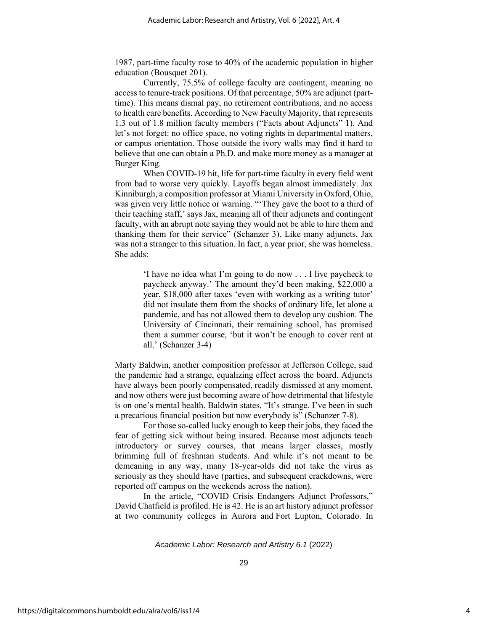1987, part-time faculty rose to 40% of the academic population in higher education (Bousquet 201).

Currently, 75.5% of college faculty are contingent, meaning no access to tenure-track positions. Of that percentage, 50% are adjunct (parttime). This means dismal pay, no retirement contributions, and no access to health care benefits. According to New Faculty Majority, that represents 1.3 out of 1.8 million faculty members ("Facts about Adjuncts" 1). And let's not forget: no office space, no voting rights in departmental matters, or campus orientation. Those outside the ivory walls may find it hard to believe that one can obtain a Ph.D. and make more money as a manager at Burger King.

When COVID-19 hit, life for part-time faculty in every field went from bad to worse very quickly. Layoffs began almost immediately. Jax Kinniburgh, a composition professor at Miami University in Oxford, Ohio, was given very little notice or warning. "'They gave the boot to a third of their teaching staff,' says Jax, meaning all of their adjuncts and contingent faculty, with an abrupt note saying they would not be able to hire them and thanking them for their service" (Schanzer 3). Like many adjuncts, Jax was not a stranger to this situation. In fact, a year prior, she was homeless. She adds:

> 'I have no idea what I'm going to do now . . . I live paycheck to paycheck anyway.' The amount they'd been making, \$22,000 a year, \$18,000 after taxes 'even with working as a writing tutor' did not insulate them from the shocks of ordinary life, let alone a pandemic, and has not allowed them to develop any cushion. The University of Cincinnati, their remaining school, has promised them a summer course, 'but it won't be enough to cover rent at all.' (Schanzer 3-4)

Marty Baldwin, another composition professor at Jefferson College, said the pandemic had a strange, equalizing effect across the board. Adjuncts have always been poorly compensated, readily dismissed at any moment, and now others were just becoming aware of how detrimental that lifestyle is on one's mental health. Baldwin states, "It's strange. I've been in such a precarious financial position but now everybody is" (Schanzer 7-8).

For those so-called lucky enough to keep their jobs, they faced the fear of getting sick without being insured. Because most adjuncts teach introductory or survey courses, that means larger classes, mostly brimming full of freshman students. And while it's not meant to be demeaning in any way, many 18-year-olds did not take the virus as seriously as they should have (parties, and subsequent crackdowns, were reported off campus on the weekends across the nation).

In the article, "COVID Crisis Endangers Adjunct Professors," David Chatfield is profiled. He is 42. He is an art history adjunct professor at two community colleges in Aurora and Fort Lupton, Colorado. In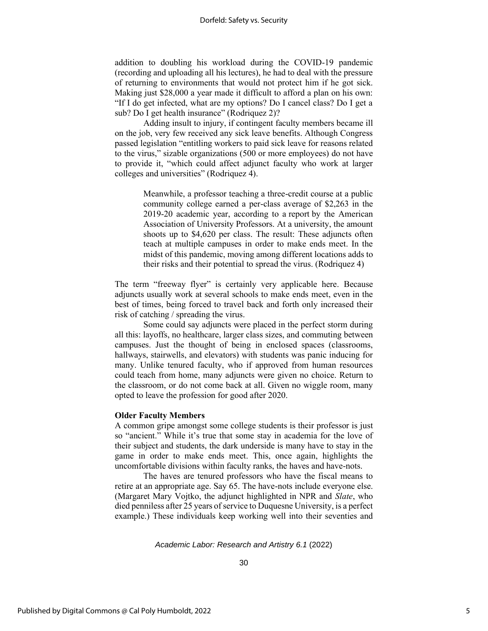addition to doubling his workload during the COVID-19 pandemic (recording and uploading all his lectures), he had to deal with the pressure of returning to environments that would not protect him if he got sick. Making just \$28,000 a year made it difficult to afford a plan on his own: "If I do get infected, what are my options? Do I cancel class? Do I get a sub? Do I get health insurance" (Rodriquez 2)?

Adding insult to injury, if contingent faculty members became ill on the job, very few received any sick leave benefits. Although Congress passed legislation "entitling workers to paid sick leave for reasons related to the virus," sizable organizations (500 or more employees) do not have to provide it, "which could affect adjunct faculty who work at larger colleges and universities" (Rodriquez 4).

> Meanwhile, a professor teaching a three-credit course at a public community college earned a per-class average of \$2,263 in the 2019-20 academic year, according to a report by the American Association of University Professors. At a university, the amount shoots up to \$4,620 per class. The result: These adjuncts often teach at multiple campuses in order to make ends meet. In the midst of this pandemic, moving among different locations adds to their risks and their potential to spread the virus. (Rodriquez 4)

The term "freeway flyer" is certainly very applicable here. Because adjuncts usually work at several schools to make ends meet, even in the best of times, being forced to travel back and forth only increased their risk of catching / spreading the virus.

Some could say adjuncts were placed in the perfect storm during all this: layoffs, no healthcare, larger class sizes, and commuting between campuses. Just the thought of being in enclosed spaces (classrooms, hallways, stairwells, and elevators) with students was panic inducing for many. Unlike tenured faculty, who if approved from human resources could teach from home, many adjuncts were given no choice. Return to the classroom, or do not come back at all. Given no wiggle room, many opted to leave the profession for good after 2020.

#### **Older Faculty Members**

A common gripe amongst some college students is their professor is just so "ancient." While it's true that some stay in academia for the love of their subject and students, the dark underside is many have to stay in the game in order to make ends meet. This, once again, highlights the uncomfortable divisions within faculty ranks, the haves and have-nots.

The haves are tenured professors who have the fiscal means to retire at an appropriate age. Say 65. The have-nots include everyone else. (Margaret Mary Vojtko, the adjunct highlighted in NPR and *Slate*, who died penniless after 25 years of service to Duquesne University, is a perfect example.) These individuals keep working well into their seventies and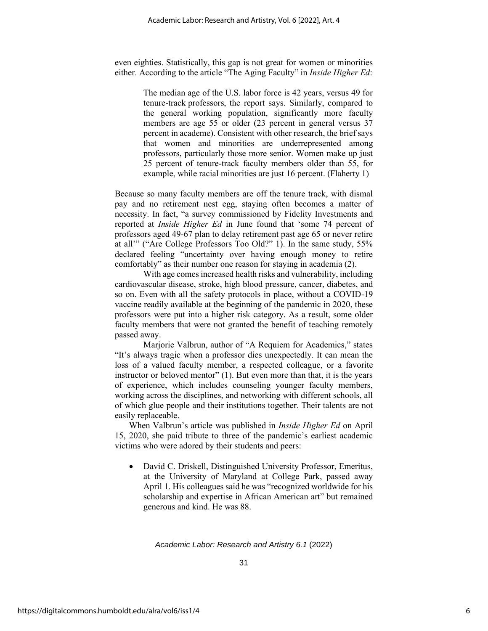even eighties. Statistically, this gap is not great for women or minorities either. According to the article "The Aging Faculty" in *Inside Higher Ed*:

> The median age of the U.S. labor force is 42 years, versus 49 for tenure-track professors, the report says. Similarly, compared to the general working population, significantly more faculty members are age 55 or older (23 percent in general versus 37 percent in academe). Consistent with other research, the brief says that women and minorities are underrepresented among professors, particularly those more senior. Women make up just 25 percent of tenure-track faculty members older than 55, for example, while racial minorities are just 16 percent. (Flaherty 1)

Because so many faculty members are off the tenure track, with dismal pay and no retirement nest egg, staying often becomes a matter of necessity. In fact, "a survey commissioned by Fidelity Investments and reported at *Inside Higher Ed* in June found that 'some 74 percent of professors aged 49-67 plan to delay retirement past age 65 or never retire at all'" ("Are College Professors Too Old?" 1). In the same study, 55% declared feeling "uncertainty over having enough money to retire comfortably" as their number one reason for staying in academia (2).

With age comes increased health risks and vulnerability, including cardiovascular disease, stroke, high blood pressure, cancer, diabetes, and so on. Even with all the safety protocols in place, without a COVID-19 vaccine readily available at the beginning of the pandemic in 2020, these professors were put into a higher risk category. As a result, some older faculty members that were not granted the benefit of teaching remotely passed away.

Marjorie Valbrun, author of "A Requiem for Academics," states "It's always tragic when a professor dies unexpectedly. It can mean the loss of a valued faculty member, a respected colleague, or a favorite instructor or beloved mentor" (1). But even more than that, it is the years of experience, which includes counseling younger faculty members, working across the disciplines, and networking with different schools, all of which glue people and their institutions together. Their talents are not easily replaceable.

When Valbrun's article was published in *Inside Higher Ed* on April 15, 2020, she paid tribute to three of the pandemic's earliest academic victims who were adored by their students and peers:

• David C. Driskell, Distinguished University Professor, Emeritus, at the University of Maryland at College Park, passed away April 1. His colleagues said he was "recognized worldwide for his scholarship and expertise in African American art" but remained generous and kind. He was 88.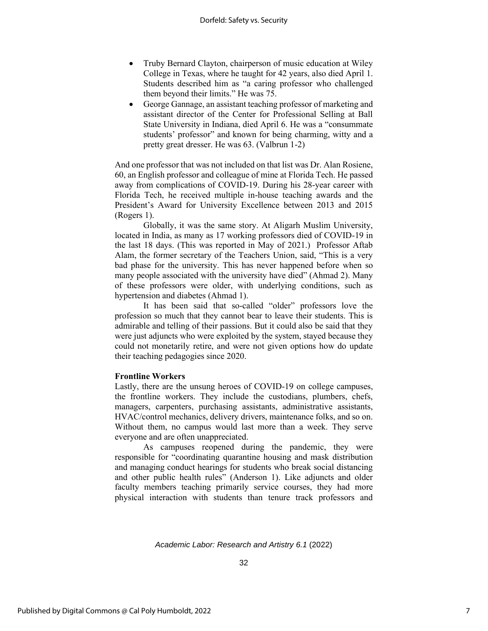- Truby Bernard Clayton, chairperson of music education at Wiley College in Texas, where he taught for 42 years, also died April 1. Students described him as "a caring professor who challenged them beyond their limits." He was 75.
- George Gannage, an assistant teaching professor of marketing and assistant director of the Center for Professional Selling at Ball State University in Indiana, died April 6. He was a "consummate students' professor" and known for being charming, witty and a pretty great dresser. He was 63. (Valbrun 1-2)

And one professor that was not included on that list was Dr. Alan Rosiene, 60, an English professor and colleague of mine at Florida Tech. He passed away from complications of COVID-19. During his 28-year career with Florida Tech, he received multiple in-house teaching awards and the President's Award for University Excellence between 2013 and 2015 (Rogers 1).

Globally, it was the same story. At Aligarh Muslim University, located in India, as many as 17 working professors died of COVID-19 in the last 18 days. (This was reported in May of 2021.) Professor Aftab Alam, the former secretary of the Teachers Union, said, "This is a very bad phase for the university. This has never happened before when so many people associated with the university have died" (Ahmad 2). Many of these professors were older, with underlying conditions, such as hypertension and diabetes (Ahmad 1).

It has been said that so-called "older" professors love the profession so much that they cannot bear to leave their students. This is admirable and telling of their passions. But it could also be said that they were just adjuncts who were exploited by the system, stayed because they could not monetarily retire, and were not given options how do update their teaching pedagogies since 2020.

#### **Frontline Workers**

Lastly, there are the unsung heroes of COVID-19 on college campuses, the frontline workers. They include the custodians, plumbers, chefs, managers, carpenters, purchasing assistants, administrative assistants, HVAC/control mechanics, delivery drivers, maintenance folks, and so on. Without them, no campus would last more than a week. They serve everyone and are often unappreciated.

As campuses reopened during the pandemic, they were responsible for "coordinating quarantine housing and mask distribution and managing conduct hearings for students who break social distancing and other public health rules" (Anderson 1). Like adjuncts and older faculty members teaching primarily service courses, they had more physical interaction with students than tenure track professors and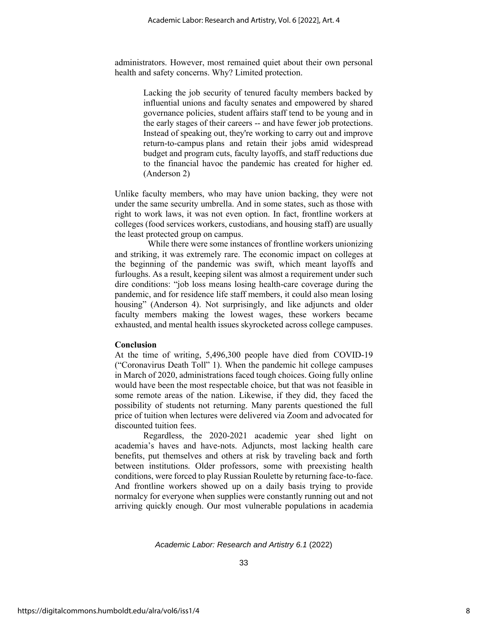administrators. However, most remained quiet about their own personal health and safety concerns. Why? Limited protection.

> Lacking the job security of tenured faculty members backed by influential unions and faculty senates and empowered by shared governance policies, student affairs staff tend to be young and in the early stages of their careers -- and have fewer job protections. Instead of speaking out, they're working to carry out and improve return-to-campus plans and retain their jobs amid widespread budget and program cuts, faculty layoffs, and staff reductions due to the financial havoc the pandemic has created for higher ed. (Anderson 2)

Unlike faculty members, who may have union backing, they were not under the same security umbrella. And in some states, such as those with right to work laws, it was not even option. In fact, frontline workers at colleges (food services workers, custodians, and housing staff) are usually the least protected group on campus.

 While there were some instances of frontline workers unionizing and striking, it was extremely rare. The economic impact on colleges at the beginning of the pandemic was swift, which meant layoffs and furloughs. As a result, keeping silent was almost a requirement under such dire conditions: "job loss means losing health-care coverage during the pandemic, and for residence life staff members, it could also mean losing housing" (Anderson 4). Not surprisingly, and like adjuncts and older faculty members making the lowest wages, these workers became exhausted, and mental health issues skyrocketed across college campuses.

#### **Conclusion**

At the time of writing, 5,496,300 people have died from COVID-19 ("Coronavirus Death Toll" 1). When the pandemic hit college campuses in March of 2020, administrations faced tough choices. Going fully online would have been the most respectable choice, but that was not feasible in some remote areas of the nation. Likewise, if they did, they faced the possibility of students not returning. Many parents questioned the full price of tuition when lectures were delivered via Zoom and advocated for discounted tuition fees.

Regardless, the 2020-2021 academic year shed light on academia's haves and have-nots. Adjuncts, most lacking health care benefits, put themselves and others at risk by traveling back and forth between institutions. Older professors, some with preexisting health conditions, were forced to play Russian Roulette by returning face-to-face. And frontline workers showed up on a daily basis trying to provide normalcy for everyone when supplies were constantly running out and not arriving quickly enough. Our most vulnerable populations in academia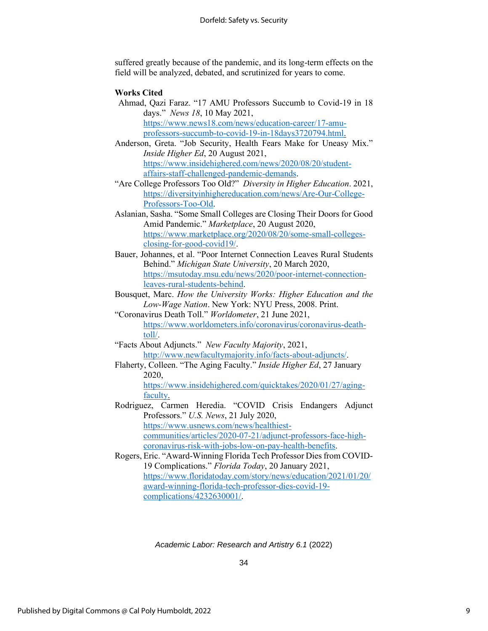suffered greatly because of the pandemic, and its long-term effects on the field will be analyzed, debated, and scrutinized for years to come.

#### **Works Cited**

Ahmad, Qazi Faraz. "17 AMU Professors Succumb to Covid-19 in 18 days." *News 18*, 10 May 2021, [https://www.news18.com/news/education-career/17-amu](https://www.news18.com/news/education-career/17-amu-professors-succumb-to-covid-19-in-18days3720794.html)[professors-succumb-to-covid-19-in-18days3720794.html.](https://www.news18.com/news/education-career/17-amu-professors-succumb-to-covid-19-in-18days3720794.html)

Anderson, Greta. "Job Security, Health Fears Make for Uneasy Mix." *Inside Higher Ed*, 20 August 2021, [https://www.insidehighered.com/news/2020/08/20/student](https://www.insidehighered.com/news/2020/08/20/student-affairs-staff-challenged-pandemic-demands)[affairs-staff-challenged-pandemic-demands.](https://www.insidehighered.com/news/2020/08/20/student-affairs-staff-challenged-pandemic-demands)

"Are College Professors Too Old?" *Diversity in Higher Education*. 2021, [https://diversityinhighereducation.com/news/Are-Our-College-](https://diversityinhighereducation.com/news/Are-Our-College-Professors-Too-Old)[Professors-Too-Old.](https://diversityinhighereducation.com/news/Are-Our-College-Professors-Too-Old)

- Aslanian, Sasha. "Some Small Colleges are Closing Their Doors for Good Amid Pandemic." *Marketplace*, 20 August 2020, [https://www.marketplace.org/2020/08/20/some-small-colleges](https://www.marketplace.org/2020/08/20/some-small-colleges-closing-for-good-covid19/)[closing-for-good-covid19/.](https://www.marketplace.org/2020/08/20/some-small-colleges-closing-for-good-covid19/)
- Bauer, Johannes, et al. "Poor Internet Connection Leaves Rural Students Behind." *Michigan State University*, 20 March 2020, [https://msutoday.msu.edu/news/2020/poor-internet-connection](https://msutoday.msu.edu/news/2020/poor-internet-connection-leaves-rural-students-behind)[leaves-rural-students-behind.](https://msutoday.msu.edu/news/2020/poor-internet-connection-leaves-rural-students-behind)

Bousquet, Marc. *How the University Works: Higher Education and the Low-Wage Nation*. New York: NYU Press, 2008. Print.

"Coronavirus Death Toll." *Worldometer*, 21 June 2021, [https://www.worldometers.info/coronavirus/coronavirus-death](https://www.worldometers.info/coronavirus/coronavirus-death-toll/)[toll/.](https://www.worldometers.info/coronavirus/coronavirus-death-toll/)

"Facts About Adjuncts." *New Faculty Majority*, 2021, [http://www.newfacultymajority.info/facts-about-adjuncts/.](http://www.newfacultymajority.info/facts-about-adjuncts/)

Flaherty, Colleen. "The Aging Faculty." *Inside Higher Ed*, 27 January 2020, [https://www.insidehighered.com/quicktakes/2020/01/27/aging-](https://www.insidehighered.com/quicktakes/2020/01/27/aging-faculty)

[faculty.](https://www.insidehighered.com/quicktakes/2020/01/27/aging-faculty)

Rodriguez, Carmen Heredia. "COVID Crisis Endangers Adjunct Professors." *U.S. News*, 21 July 2020, [https://www.usnews.com/news/healthiest](https://www.usnews.com/news/healthiest-communities/articles/2020-07-21/adjunct-professors-face-high-coronavirus-risk-with-jobs-low-on-pay-health-benefits)[communities/articles/2020-07-21/adjunct-professors-face-high](https://www.usnews.com/news/healthiest-communities/articles/2020-07-21/adjunct-professors-face-high-coronavirus-risk-with-jobs-low-on-pay-health-benefits)[coronavirus-risk-with-jobs-low-on-pay-health-benefits.](https://www.usnews.com/news/healthiest-communities/articles/2020-07-21/adjunct-professors-face-high-coronavirus-risk-with-jobs-low-on-pay-health-benefits)

Rogers, Eric. "Award-Winning Florida Tech Professor Dies from COVID-19 Complications." *Florida Today*, 20 January 2021, [https://www.floridatoday.com/story/news/education/2021/01/20/](https://www.floridatoday.com/story/news/education/2021/01/20/award-winning-florida-tech-professor-dies-covid-19-complications/4232630001/) [award-winning-florida-tech-professor-dies-covid-19](https://www.floridatoday.com/story/news/education/2021/01/20/award-winning-florida-tech-professor-dies-covid-19-complications/4232630001/) [complications/4232630001/.](https://www.floridatoday.com/story/news/education/2021/01/20/award-winning-florida-tech-professor-dies-covid-19-complications/4232630001/)